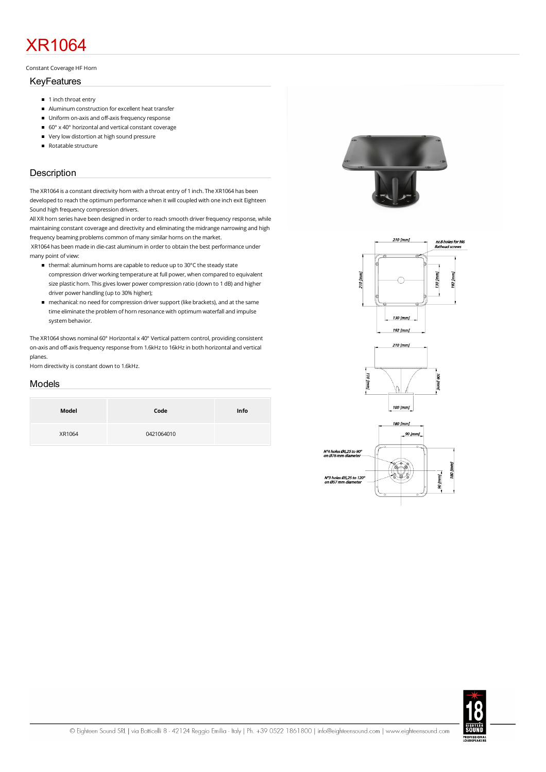# XR1064

#### Constant Coverage HF Horn

### KeyFeatures

- 1 inch throat entry
- Aluminumconstruction for excellent heat transfer
- **Uniform on-axis and off-axis frequency response**
- $\Box$  60° x 40° horizontal and vertical constant coverage
- Very low distortion at high sound pressure
- Rotatable structure

## **Description**

The XR1064 is a constant directivity horn with a throat entry of 1 inch. The XR1064 has been developed to reach the optimum performance when it will coupled with one inch exit Eighteen Sound high frequency compression drivers.

All XR horn series have been designed in order to reach smooth driver frequency response, while maintaining constant coverage and directivity and eliminating the midrange narrowing and high frequency beaming problems common of many similar horns on the market.

XR1064 has been made in die-cast aluminum in order to obtain the best performance under many point of view:

- thermal: aluminum horns are capable to reduce up to 30°C the steady state compression driver working temperature at full power, when compared to equivalent size plastic horn. This gives lower power compression ratio (down to 1 dB) and higher driver power handling(up to 30% higher);
- mechanical: no need forcompression driversupport (like brackets), and at the same time eliminate the problem of horn resonance with optimum waterfall and impulse system behavior.

The XR1064 shows nominal 60° Horizontal x 40° Vertical pattern control, providing consistent on-axis and off-axis frequency response from 1.6kHz to 16kHz in both horizontal and vertical planes.

Horn directivity is constant down to 1.6kHz.

## Models

| Model  | Code       | Info |
|--------|------------|------|
| XR1064 | 0421064010 |      |